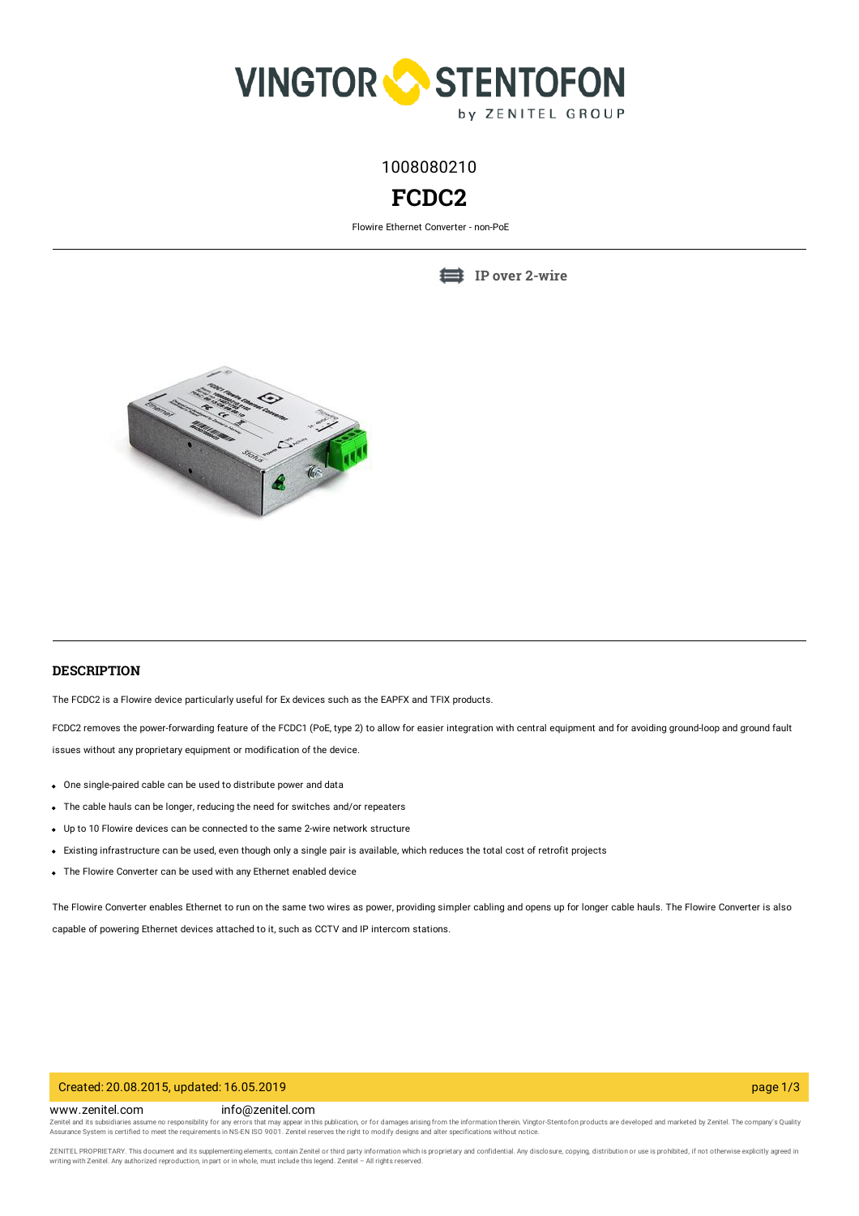

1008080210

# **FCDC2**

Flowire Ethernet Converter - non-PoE

**IP over [2-wire](https://www.zenitel.com/technology/network/ip-over-2-wire)**



# **DESCRIPTION**

The FCDC2 is a Flowire device particularly useful for Ex devices such as the EAPFX and TFIX products.

FCDC2 removes the power-forwarding feature of the FCDC1 (PoE, type 2) to allow for easier integration with central equipment and for avoiding ground-loop and ground fault issues without any proprietary equipment or modification of the device.

- One single-paired cable can be used to distribute power and data
- The cable hauls can be longer, reducing the need for switches and/or repeaters
- Up to 10 Flowire devices can be connected to the same 2-wire network structure
- Existing infrastructure can be used, even though only a single pair is available, which reduces the total cost of retrofit projects
- The Flowire Converter can be used with any Ethernet enabled device

The Flowire Converter enables Ethernet to run on the same two wires as power, providing simpler cabling and opens up for longer cable hauls. The Flowire Converter is also capable of powering Ethernet devices attached to it, such as CCTV and IP intercom stations.

# Created: 20.08.2015, updated: 16.05.2019 page 1/3

# www.zenitel.com info@zenitel.com

Zenitel and its subsidiaries assume no responsibility for any errors that may appear in this publication, or for damages arising from the information therein. Vingtor-Stentofon products are developed and marketed by Zenite

ZENITEL PROPRIETARY. This document and its supplementing elements, contain Zenitel or third party information which is proprietary and confidential. Any disclosure, copying, distribution or use is prohibited, if not otherw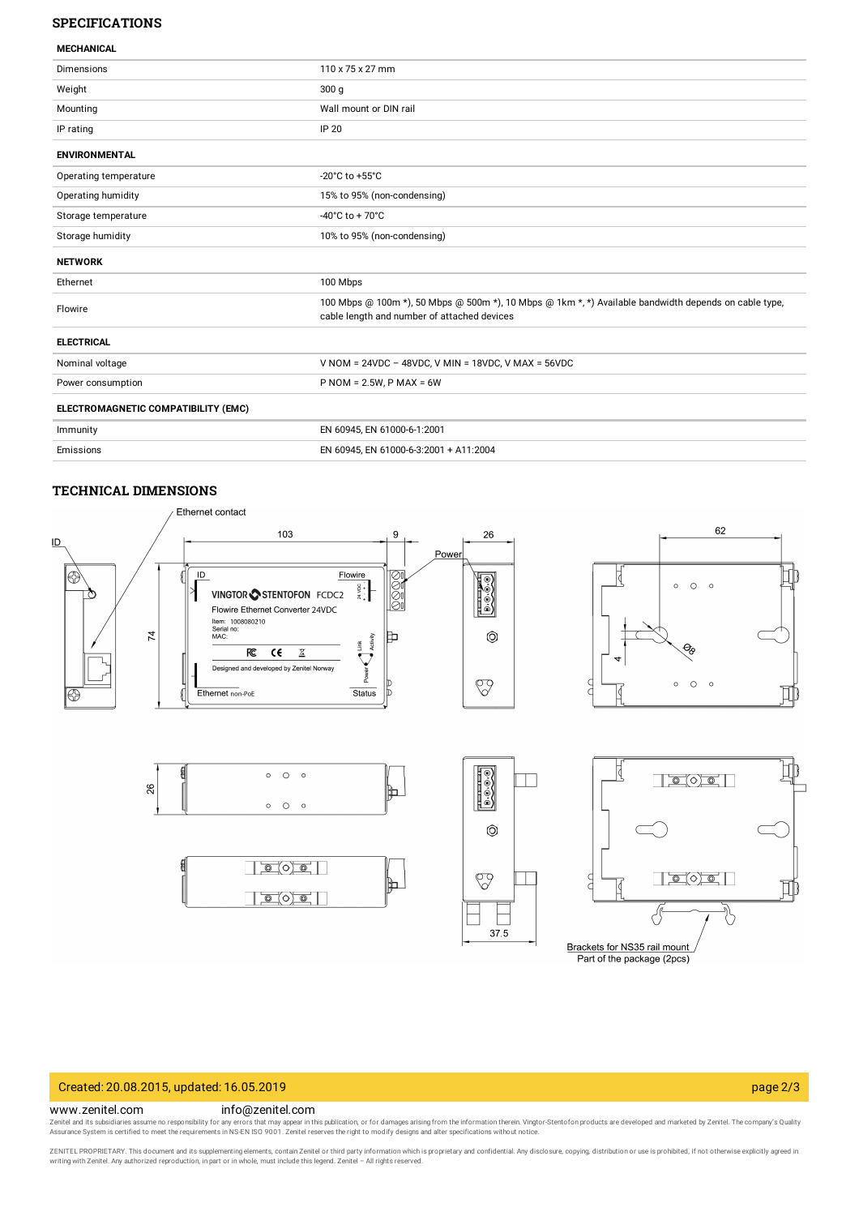# **SPECIFICATIONS**

| <b>MECHANICAL</b> |  |
|-------------------|--|

| שמעונות ושבועו                      |                                                                                                                                                      |
|-------------------------------------|------------------------------------------------------------------------------------------------------------------------------------------------------|
| <b>Dimensions</b>                   | 110 x 75 x 27 mm                                                                                                                                     |
| Weight                              | 300 <sub>g</sub>                                                                                                                                     |
| Mounting                            | Wall mount or DIN rail                                                                                                                               |
| IP rating                           | <b>IP 20</b>                                                                                                                                         |
| <b>ENVIRONMENTAL</b>                |                                                                                                                                                      |
| Operating temperature               | -20 $^{\circ}$ C to +55 $^{\circ}$ C                                                                                                                 |
| Operating humidity                  | 15% to 95% (non-condensing)                                                                                                                          |
| Storage temperature                 | $-40^{\circ}$ C to + 70 $^{\circ}$ C                                                                                                                 |
| Storage humidity                    | 10% to 95% (non-condensing)                                                                                                                          |
| <b>NETWORK</b>                      |                                                                                                                                                      |
| Ethernet                            | 100 Mbps                                                                                                                                             |
| Flowire                             | 100 Mbps @ 100m *), 50 Mbps @ 500m *), 10 Mbps @ 1km *, *) Available bandwidth depends on cable type,<br>cable length and number of attached devices |
| <b>ELECTRICAL</b>                   |                                                                                                                                                      |
| Nominal voltage                     | V NOM = $24VDC - 48VDC$ , V MIN = $18VDC$ , V MAX = $56VDC$                                                                                          |
| Power consumption                   | $P NOM = 2.5W, P MAX = 6W$                                                                                                                           |
| ELECTROMAGNETIC COMPATIBILITY (EMC) |                                                                                                                                                      |
| Immunity                            | EN 60945, EN 61000-6-1:2001                                                                                                                          |
| Emissions                           | EN 60945, EN 61000-6-3:2001 + A11:2004                                                                                                               |

# **TECHNICAL DIMENSIONS**



Brackets for NS35 rail mount Part of the package (2pcs)

∛

### Created: 20.08.2015, updated: 16.05.2019 page 2/3

⇘

#### www.zenitel.com info@zenitel.com

Zenitel and its subsidiaries assume no responsibility for any errors that may appear in this publication, or for damages arising from the information therein. Vingtor-Stentofon products are developed and marketed by Zenite

 $\mathbf{I}$ 37.5

ZENITEL PROPRIETARY. This document and its supplementing elements, contain Zenitel or third party information which is proprietary and confidential. Any disclosure, copying, distribution or use is prohibited, if not otherw